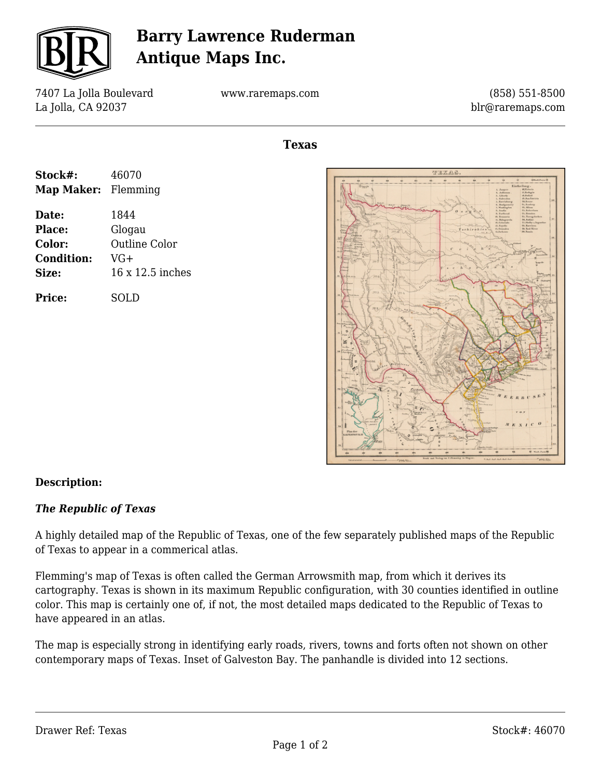

## **Barry Lawrence Ruderman Antique Maps Inc.**

7407 La Jolla Boulevard La Jolla, CA 92037

www.raremaps.com

(858) 551-8500 blr@raremaps.com

**Texas**

| Stock#:                    | 46070                |
|----------------------------|----------------------|
| <b>Map Maker:</b> Flemming |                      |
| Date:                      | 1844                 |
| Place:                     | Glogau               |
| Color:                     | <b>Outline Color</b> |
| <b>Condition:</b>          | VG+                  |
| Size:                      | 16 x 12.5 inches     |
| <b>Price:</b>              | SOLD                 |



## **Description:**

## *The Republic of Texas*

A highly detailed map of the Republic of Texas, one of the few separately published maps of the Republic of Texas to appear in a commerical atlas.

Flemming's map of Texas is often called the German Arrowsmith map, from which it derives its cartography. Texas is shown in its maximum Republic configuration, with 30 counties identified in outline color. This map is certainly one of, if not, the most detailed maps dedicated to the Republic of Texas to have appeared in an atlas.

The map is especially strong in identifying early roads, rivers, towns and forts often not shown on other contemporary maps of Texas. Inset of Galveston Bay. The panhandle is divided into 12 sections.